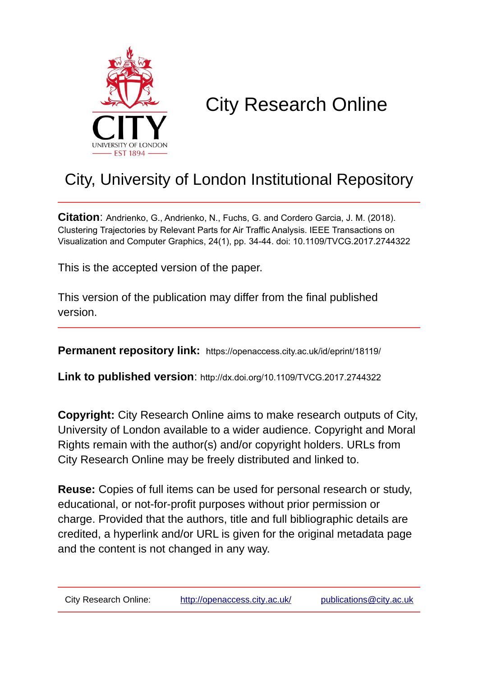

# City Research Online

# City, University of London Institutional Repository

**Citation**: Andrienko, G., Andrienko, N., Fuchs, G. and Cordero Garcia, J. M. (2018). Clustering Trajectories by Relevant Parts for Air Traffic Analysis. IEEE Transactions on Visualization and Computer Graphics, 24(1), pp. 34-44. doi: 10.1109/TVCG.2017.2744322

This is the accepted version of the paper.

This version of the publication may differ from the final published version.

**Permanent repository link:** https://openaccess.city.ac.uk/id/eprint/18119/

**Link to published version**: http://dx.doi.org/10.1109/TVCG.2017.2744322

**Copyright:** City Research Online aims to make research outputs of City, University of London available to a wider audience. Copyright and Moral Rights remain with the author(s) and/or copyright holders. URLs from City Research Online may be freely distributed and linked to.

**Reuse:** Copies of full items can be used for personal research or study, educational, or not-for-profit purposes without prior permission or charge. Provided that the authors, title and full bibliographic details are credited, a hyperlink and/or URL is given for the original metadata page and the content is not changed in any way.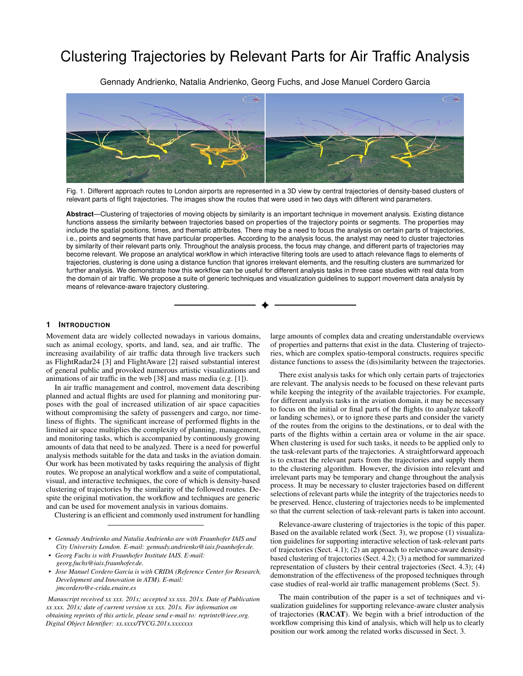# Clustering Trajectories by Relevant Parts for Air Traffic Analysis

Gennady Andrienko, Natalia Andrienko, Georg Fuchs, and Jose Manuel Cordero Garcia



Fig. 1. Different approach routes to London airports are represented in a 3D view by central trajectories of density-based clusters of relevant parts of flight trajectories. The images show the routes that were used in two days with different wind parameters.

<span id="page-1-0"></span>**Abstract**—Clustering of trajectories of moving objects by similarity is an important technique in movement analysis. Existing distance functions assess the similarity between trajectories based on properties of the trajectory points or segments. The properties may include the spatial positions, times, and thematic attributes. There may be a need to focus the analysis on certain parts of trajectories, i.e., points and segments that have particular properties. According to the analysis focus, the analyst may need to cluster trajectories by similarity of their relevant parts only. Throughout the analysis process, the focus may change, and different parts of trajectories may become relevant. We propose an analytical workflow in which interactive filtering tools are used to attach relevance flags to elements of trajectories, clustering is done using a distance function that ignores irrelevant elements, and the resulting clusters are summarized for further analysis. We demonstrate how this workflow can be useful for different analysis tasks in three case studies with real data from the domain of air traffic. We propose a suite of generic techniques and visualization guidelines to support movement data analysis by means of relevance-aware trajectory clustering.

# **1 INTRODUCTION**

Movement data are widely collected nowadays in various domains, such as animal ecology, sports, and land, sea, and air traffic. The increasing availability of air traffic data through live trackers such as FlightRadar24 [\[3\]](#page-10-0) and FlightAware [\[2\]](#page-10-1) raised substantial interest of general public and provoked numerous artistic visualizations and animations of air traffic in the web [\[38\]](#page-10-2) and mass media (e.g. [\[1\]](#page-10-3)).

In air traffic management and control, movement data describing planned and actual flights are used for planning and monitoring purposes with the goal of increased utilization of air space capacities without compromising the safety of passengers and cargo, nor timeliness of flights. The significant increase of performed flights in the limited air space multiplies the complexity of planning, management, and monitoring tasks, which is accompanied by continuously growing amounts of data that need to be analyzed. There is a need for powerful analysis methods suitable for the data and tasks in the aviation domain. Our work has been motivated by tasks requiring the analysis of flight routes. We propose an analytical workflow and a suite of computational, visual, and interactive techniques, the core of which is density-based clustering of trajectories by the similarity of the followed routes. Despite the original motivation, the workflow and techniques are generic and can be used for movement analysis in various domains.

Clustering is an efficient and commonly used instrument for handling

- *Gennady Andrienko and Natalia Andrienko are with Fraunhofer IAIS and City University London. E-mail: gennady.andrienko@iais.fraunhofer.de.*
- *Georg Fuchs is with Fraunhofer Institute IAIS. E-mail: georg.fuchs@iais.fraunhofer.de.*
- *• Jose Manuel Cordero Garcia is with CRIDA (Reference Center for Research, Development and Innovation in ATM). E-mail: jmcordero@e-crida.enaire.es*

*Manuscript received xx xxx. 201x; accepted xx xxx. 201x. Date of Publication xx xxx. 201x; date of current version xx xxx. 201x. For information on obtaining reprints of this article, please send e-mail to: reprints@ieee.org. Digital Object Identifier: xx.xxxx/TVCG.201x.xxxxxxx*

large amounts of complex data and creating understandable overviews of properties and patterns that exist in the data. Clustering of trajectories, which are complex spatio-temporal constructs, requires specific distance functions to assess the (dis)similarity between the trajectories.

There exist analysis tasks for which only certain parts of trajectories are relevant. The analysis needs to be focused on these relevant parts while keeping the integrity of the available trajectories. For example, for different analysis tasks in the aviation domain, it may be necessary to focus on the initial or final parts of the flights (to analyze takeoff or landing schemes), or to ignore these parts and consider the variety of the routes from the origins to the destinations, or to deal with the parts of the flights within a certain area or volume in the air space. When clustering is used for such tasks, it needs to be applied only to the task-relevant parts of the trajectories. A straightforward approach is to extract the relevant parts from the trajectories and supply them to the clustering algorithm. However, the division into relevant and irrelevant parts may be temporary and change throughout the analysis process. It may be necessary to cluster trajectories based on different selections of relevant parts while the integrity of the trajectories needs to be preserved. Hence, clustering of trajectories needs to be implemented so that the current selection of task-relevant parts is taken into account.

Relevance-aware clustering of trajectories is the topic of this paper. Based on the available related work (Sect. [3\)](#page-2-0), we propose (1) visualization guidelines for supporting interactive selection of task-relevant parts of trajectories (Sect. [4.1\)](#page-3-0); (2) an approach to relevance-aware densitybased clustering of trajectories (Sect. [4.2\)](#page-4-0); (3) a method for summarized representation of clusters by their central trajectories (Sect. [4.3\)](#page-4-1); (4) demonstration of the effectiveness of the proposed techniques through case studies of real-world air traffic management problems (Sect. [5\)](#page-5-0).

The main contribution of the paper is a set of techniques and visualization guidelines for supporting relevance-aware cluster analysis of trajectories (RACAT). We begin with a brief introduction of the workflow comprising this kind of analysis, which will help us to clearly position our work among the related works discussed in Sect. [3.](#page-2-0)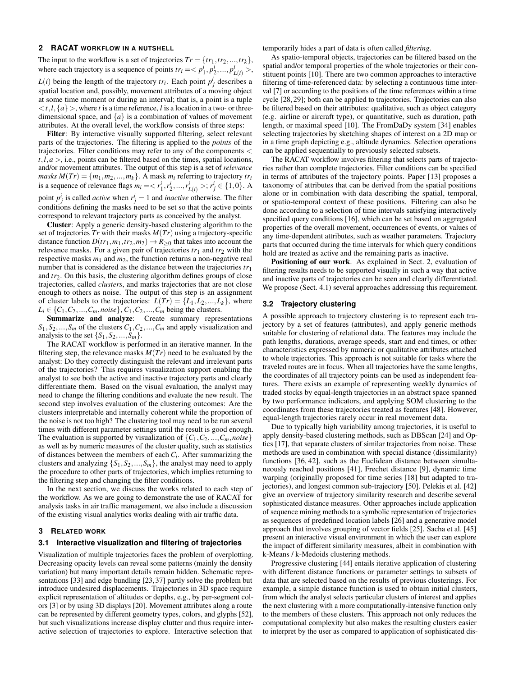# <span id="page-2-1"></span>**2 RACAT WORKFLOW IN A NUTSHELL**

The input to the workflow is a set of trajectories  $Tr = \{tr_1, tr_2, ..., tr_k\}$ , where each trajectory is a sequence of points  $tr_i = \langle p_1^i, p_2^i, ..., p_{L(i)}^i \rangle$ ,  $L(i)$  being the length of the trajectory  $tr_i$ . Each point  $p_j^i$  describes a spatial location and, possibly, movement attributes of a moving object at some time moment or during an interval; that is, a point is a tuple  $\langle t, l, \{a\} \rangle$ , where *t* is a time reference, *l* is a location in a two- or threedimensional space, and  $\{a\}$  is a combination of values of movement attributes. At the overall level, the workflow consists of three steps:

Filter: By interactive visually supported filtering, select relevant parts of the trajectories. The filtering is applied to the *points* of the trajectories. Filter conditions may refer to any of the components <  $t, l, a >$ , i.e., points can be filtered based on the times, spatial locations, and/or movement attributes. The output of this step is a set of *relevance masks*  $M(Tr) = \{m_1, m_2, ..., m_k\}$ . A mask  $m_i$  referring to trajectory  $tr_i$ is a sequence of relevance flags  $m_i = \langle r_1^i, r_2^i, ..., r_{L(i)}^i \rangle; r_j^i \in \{1, 0\}$ . A point  $p_j^i$  is called *active* when  $r_j^i = 1$  and *inactive* otherwise. The filter conditions defining the masks need to be set so that the active points correspond to relevant trajectory parts as conceived by the analyst.

Cluster: Apply a generic density-based clustering algorithm to the set of trajectories *Tr* with their masks *M*(*Tr*) using a trajectory-specific distance function  $D(tr_1, m_1, tr_2, m_2) \rightarrow R_{\geq 0}$  that takes into account the relevance masks. For a given pair of trajectories  $tr_1$  and  $tr_2$  with the respective masks  $m_1$  and  $m_2$ , the function returns a non-negative real number that is considered as the distance between the trajectories *tr*<sup>1</sup> and *tr*2. On this basis, the clustering algorithm defines groups of close trajectories, called *clusters*, and marks trajectories that are not close enough to others as noise. The output of this step is an assignment of cluster labels to the trajectories:  $L(Tr) = \{L_1, L_2, ..., L_k\}$ , where  $L_i \in \{C_1, C_2, ..., C_m, noise\}, C_1, C_2, ..., C_m$  being the clusters.

Summarize and analyze: Create summary representations  $S_1, S_2, \ldots, S_m$  of the clusters  $C_1, C_2, \ldots, C_m$  and apply visualization and analysis to the set  $\{S_1, S_2, ..., S_m\}$ .

The RACAT workflow is performed in an iterative manner. In the filtering step, the relevance masks  $M(Tr)$  need to be evaluated by the analyst: Do they correctly distinguish the relevant and irrelevant parts of the trajectories? This requires visualization support enabling the analyst to see both the active and inactive trajectory parts and clearly differentiate them. Based on the visual evaluation, the analyst may need to change the filtering conditions and evaluate the new result. The second step involves evaluation of the clustering outcomes: Are the clusters interpretable and internally coherent while the proportion of the noise is not too high? The clustering tool may need to be run several times with different parameter settings until the result is good enough. The evaluation is supported by visualization of  $\{C_1, C_2, ..., C_m, noise\}$ as well as by numeric measures of the cluster quality, such as statistics of distances between the members of each *Ci* . After summarizing the clusters and analyzing  $\{S_1, S_2, ..., S_m\}$ , the analyst may need to apply the procedure to other parts of trajectories, which implies returning to the filtering step and changing the filter conditions.

In the next section, we discuss the works related to each step of the workflow. As we are going to demonstrate the use of RACAT for analysis tasks in air traffic management, we also include a discussion of the existing visual analytics works dealing with air traffic data.

### <span id="page-2-0"></span>**3 RELATED WORK**

#### **3.1 Interactive visualization and filtering of trajectories**

Visualization of multiple trajectories faces the problem of overplotting. Decreasing opacity levels can reveal some patterns (mainly the density variation) but many important details remain hidden. Schematic representations [\[33\]](#page-10-4) and edge bundling [\[23,](#page-10-5) [37\]](#page-10-6) partly solve the problem but introduce undesired displacements. Trajectories in 3D space require explicit representation of altitudes or depths, e.g., by per-segment colors [\[3\]](#page-10-0) or by using 3D displays [\[20\]](#page-10-7). Movement attributes along a route can be represented by different geometry types, colors, and glyphs [\[52\]](#page-11-0), but such visualizations increase display clutter and thus require interactive selection of trajectories to explore. Interactive selection that

temporarily hides a part of data is often called *filtering*.

As spatio-temporal objects, trajectories can be filtered based on the spatial and/or temporal properties of the whole trajectories or their constituent points [\[10\]](#page-10-8). There are two common approaches to interactive filtering of time-referenced data: by selecting a continuous time interval [\[7\]](#page-10-9) or according to the positions of the time references within a time cycle [\[28,](#page-10-10) [29\]](#page-10-11); both can be applied to trajectories. Trajectories can also be filtered based on their attributes: qualitative, such as object category (e.g. airline or aircraft type), or quantitative, such as duration, path length, or maximal speed [\[10\]](#page-10-8). The FromDaDy system [\[34\]](#page-10-12) enables selecting trajectories by sketching shapes of interest on a 2D map or in a time graph depicting e.g., altitude dynamics. Selection operations can be applied sequentially to previously selected subsets.

The RACAT workflow involves filtering that selects parts of trajectories rather than complete trajectories. Filter conditions can be specified in terms of attributes of the trajectory points. Paper [\[13\]](#page-10-13) proposes a taxonomy of attributes that can be derived from the spatial positions alone or in combination with data describing the spatial, temporal, or spatio-temporal context of these positions. Filtering can also be done according to a selection of time intervals satisfying interactively specified query conditions [\[16\]](#page-10-14), which can be set based on aggregated properties of the overall movement, occurrences of events, or values of any time-dependent attributes, such as weather parameters. Trajectory parts that occurred during the time intervals for which query conditions hold are treated as active and the remaining parts as inactive.

Positioning of our work. As explained in Sect. [2,](#page-2-1) evaluation of filtering results needs to be supported visually in such a way that active and inactive parts of trajectories can be seen and clearly differentiated. We propose (Sect. [4.1\)](#page-3-0) several approaches addressing this requirement.

# **3.2 Trajectory clustering**

A possible approach to trajectory clustering is to represent each trajectory by a set of features (attributes), and apply generic methods suitable for clustering of relational data. The features may include the path lengths, durations, average speeds, start and end times, or other characteristics expressed by numeric or qualitative attributes attached to whole trajectories. This approach is not suitable for tasks where the traveled routes are in focus. When all trajectories have the same lengths, the coordinates of all trajectory points can be used as independent features. There exists an example of representing weekly dynamics of traded stocks by equal-length trajectories in an abstract space spanned by two performance indicators, and applying SOM clustering to the coordinates from these trajectories treated as features [\[48\]](#page-11-1). However, equal-length trajectories rarely occur in real movement data.

Due to typically high variability among trajectories, it is useful to apply density-based clustering methods, such as DBScan [\[24\]](#page-10-15) and Optics [\[17\]](#page-10-16), that separate clusters of similar trajectories from noise. These methods are used in combination with special distance (dissimilarity) functions [\[36,](#page-10-17) [42\]](#page-10-18), such as the Euclidean distance between simultaneously reached positions [\[41\]](#page-10-19), Frechet distance [\[9\]](#page-10-20), dynamic time warping (originally proposed for time series [\[18\]](#page-10-21) but adapted to trajectories), and longest common sub-trajectory [\[50\]](#page-11-2). Pelekis et al. [\[42\]](#page-10-18) give an overview of trajectory similarity research and describe several sophisticated distance measures. Other approaches include application of sequence mining methods to a symbolic representation of trajectories as sequences of predefined location labels [\[26\]](#page-10-22) and a generative model approach that involves grouping of vector fields [\[25\]](#page-10-23). Sacha et al. [\[45\]](#page-11-3) present an interactive visual environment in which the user can explore the impact of different similarity measures, albeit in combination with k-Means / k-Medoids clustering methods.

Progressive clustering [\[44\]](#page-10-24) entails iterative application of clustering with different distance functions or parameter settings to subsets of data that are selected based on the results of previous clusterings. For example, a simple distance function is used to obtain initial clusters, from which the analyst selects particular clusters of interest and applies the next clustering with a more computationally-intensive function only to the members of these clusters. This approach not only reduces the computational complexity but also makes the resulting clusters easier to interpret by the user as compared to application of sophisticated dis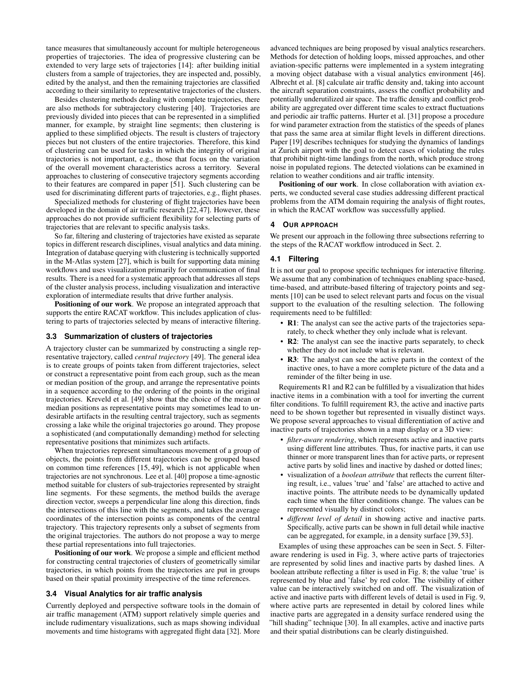tance measures that simultaneously account for multiple heterogeneous properties of trajectories. The idea of progressive clustering can be extended to very large sets of trajectories [\[14\]](#page-10-25): after building initial clusters from a sample of trajectories, they are inspected and, possibly, edited by the analyst, and then the remaining trajectories are classified according to their similarity to representative trajectories of the clusters.

Besides clustering methods dealing with complete trajectories, there are also methods for subtrajectory clustering [\[40\]](#page-10-26). Trajectories are previously divided into pieces that can be represented in a simplified manner, for example, by straight line segments; then clustering is applied to these simplified objects. The result is clusters of trajectory pieces but not clusters of the entire trajectories. Therefore, this kind of clustering can be used for tasks in which the integrity of original trajectories is not important, e.g., those that focus on the variation of the overall movement characteristics across a territory. Several approaches to clustering of consecutive trajectory segments according to their features are compared in paper [\[51\]](#page-11-4). Such clustering can be used for discriminating different parts of trajectories, e.g., flight phases.

Specialized methods for clustering of flight trajectories have been developed in the domain of air traffic research [\[22,](#page-10-27) [47\]](#page-11-5). However, these approaches do not provide sufficient flexibility for selecting parts of trajectories that are relevant to specific analysis tasks.

So far, filtering and clustering of trajectories have existed as separate topics in different research disciplines, visual analytics and data mining. Integration of database querying with clustering is technically supported in the M-Atlas system [\[27\]](#page-10-28), which is built for supporting data mining workflows and uses visualization primarily for communication of final results. There is a need for a systematic approach that addresses all steps of the cluster analysis process, including visualization and interactive exploration of intermediate results that drive further analysis.

Positioning of our work. We propose an integrated approach that supports the entire RACAT workflow. This includes application of clustering to parts of trajectories selected by means of interactive filtering.

# <span id="page-3-1"></span>**3.3 Summarization of clusters of trajectories**

A trajectory cluster can be summarized by constructing a single representative trajectory, called *central trajectory* [\[49\]](#page-11-6). The general idea is to create groups of points taken from different trajectories, select or construct a representative point from each group, such as the mean or median position of the group, and arrange the representative points in a sequence according to the ordering of the points in the original trajectories. Kreveld et al. [\[49\]](#page-11-6) show that the choice of the mean or median positions as representative points may sometimes lead to undesirable artifacts in the resulting central trajectory, such as segments crossing a lake while the original trajectories go around. They propose a sophisticated (and computationally demanding) method for selecting representative positions that minimizes such artifacts.

When trajectories represent simultaneous movement of a group of objects, the points from different trajectories can be grouped based on common time references [\[15,](#page-10-29) [49\]](#page-11-6), which is not applicable when trajectories are not synchronous. Lee et al. [\[40\]](#page-10-26) propose a time-agnostic method suitable for clusters of sub-trajectories represented by straight line segments. For these segments, the method builds the average direction vector, sweeps a perpendicular line along this direction, finds the intersections of this line with the segments, and takes the average coordinates of the intersection points as components of the central trajectory. This trajectory represents only a subset of segments from the original trajectories. The authors do not propose a way to merge these partial representations into full trajectories.

Positioning of our work. We propose a simple and efficient method for constructing central trajectories of clusters of geometrically similar trajectories, in which points from the trajectories are put in groups based on their spatial proximity irrespective of the time references.

### **3.4 Visual Analytics for air traffic analysis**

Currently deployed and perspective software tools in the domain of air traffic management (ATM) support relatively simple queries and include rudimentary visualizations, such as maps showing individual movements and time histograms with aggregated flight data [\[32\]](#page-10-30). More

advanced techniques are being proposed by visual analytics researchers. Methods for detection of holding loops, missed approaches, and other aviation-specific patterns were implemented in a system integrating a moving object database with a visual analytics environment [\[46\]](#page-11-7). Albrecht et al. [\[8\]](#page-10-31) calculate air traffic density and, taking into account the aircraft separation constraints, assess the conflict probability and potentially underutilized air space. The traffic density and conflict probability are aggregated over different time scales to extract fluctuations and periodic air traffic patterns. Hurter et al. [\[31\]](#page-10-32) propose a procedure for wind parameter extraction from the statistics of the speeds of planes that pass the same area at similar flight levels in different directions. Paper [\[19\]](#page-10-33) describes techniques for studying the dynamics of landings at Zurich airport with the goal to detect cases of violating the rules that prohibit night-time landings from the north, which produce strong noise in populated regions. The detected violations can be examined in relation to weather conditions and air traffic intensity.

Positioning of our work. In close collaboration with aviation experts, we conducted several case studies addressing different practical problems from the ATM domain requiring the analysis of flight routes, in which the RACAT workflow was successfully applied.

### **4 OUR APPROACH**

We present our approach in the following three subsections referring to the steps of the RACAT workflow introduced in Sect. [2.](#page-2-1)

### <span id="page-3-0"></span>**4.1 Filtering**

It is not our goal to propose specific techniques for interactive filtering. We assume that any combination of techniques enabling space-based, time-based, and attribute-based filtering of trajectory points and segments [\[10\]](#page-10-8) can be used to select relevant parts and focus on the visual support to the evaluation of the resulting selection. The following requirements need to be fulfilled:

- R1: The analyst can see the active parts of the trajectories separately, to check whether they only include what is relevant.
- R2: The analyst can see the inactive parts separately, to check whether they do not include what is relevant.
- R3: The analyst can see the active parts in the context of the inactive ones, to have a more complete picture of the data and a reminder of the filter being in use.

Requirements R1 and R2 can be fulfilled by a visualization that hides inactive items in a combination with a tool for inverting the current filter conditions. To fulfill requirement R3, the active and inactive parts need to be shown together but represented in visually distinct ways. We propose several approaches to visual differentiation of active and inactive parts of trajectories shown in a map display or a 3D view:

- *filter-aware rendering*, which represents active and inactive parts using different line attributes. Thus, for inactive parts, it can use thinner or more transparent lines than for active parts, or represent active parts by solid lines and inactive by dashed or dotted lines;
- visualization of a *boolean attribute* that reflects the current filtering result, i.e., values 'true' and 'false' are attached to active and inactive points. The attribute needs to be dynamically updated each time when the filter conditions change. The values can be represented visually by distinct colors;
- *different level of detail* in showing active and inactive parts. Specifically, active parts can be shown in full detail while inactive can be aggregated, for example, in a density surface [\[39,](#page-10-34) [53\]](#page-11-8).

Examples of using these approaches can be seen in Sect. [5.](#page-5-0) Filteraware rendering is used in Fig. [3,](#page-6-0) where active parts of trajectories are represented by solid lines and inactive parts by dashed lines. A boolean attribute reflecting a filter is used in Fig. [8;](#page-7-0) the value 'true' is represented by blue and 'false' by red color. The visibility of either value can be interactively switched on and off. The visualization of active and inactive parts with different levels of detail is used in Fig. [9,](#page-7-1) where active parts are represented in detail by colored lines while inactive parts are aggregated in a density surface rendered using the "hill shading" technique [\[30\]](#page-10-35). In all examples, active and inactive parts and their spatial distributions can be clearly distinguished.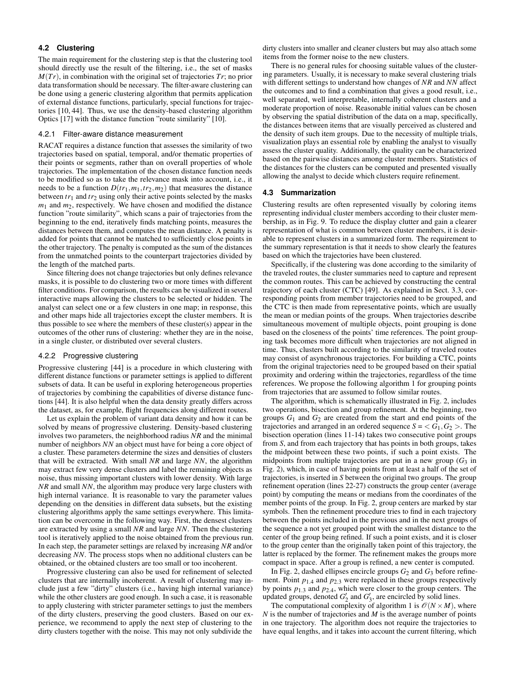# <span id="page-4-0"></span>**4.2 Clustering**

The main requirement for the clustering step is that the clustering tool should directly use the result of the filtering, i.e., the set of masks *M*(*Tr*), in combination with the original set of trajectories *Tr*; no prior data transformation should be necessary. The filter-aware clustering can be done using a generic clustering algorithm that permits application of external distance functions, particularly, special functions for trajectories [\[10,](#page-10-8) [44\]](#page-10-24). Thus, we use the density-based clustering algorithm Optics [\[17\]](#page-10-16) with the distance function "route similarity" [\[10\]](#page-10-8).

#### 4.2.1 Filter-aware distance measurement

RACAT requires a distance function that assesses the similarity of two trajectories based on spatial, temporal, and/or thematic properties of their points or segments, rather than on overall properties of whole trajectories. The implementation of the chosen distance function needs to be modified so as to take the relevance mask into account, i.e., it needs to be a function  $D(tr_1, m_1, tr_2, m_2)$  that measures the distance between  $tr_1$  and  $tr_2$  using only their active points selected by the masks  $m_1$  and  $m_2$ , respectively. We have chosen and modified the distance function "route similarity", which scans a pair of trajectories from the beginning to the end, iteratively finds matching points, measures the distances between them, and computes the mean distance. A penalty is added for points that cannot be matched to sufficiently close points in the other trajectory. The penalty is computed as the sum of the distances from the unmatched points to the counterpart trajectories divided by the length of the matched parts.

Since filtering does not change trajectories but only defines relevance masks, it is possible to do clustering two or more times with different filter conditions. For comparison, the results can be visualized in several interactive maps allowing the clusters to be selected or hidden. The analyst can select one or a few clusters in one map; in response, this and other maps hide all trajectories except the cluster members. It is thus possible to see where the members of these cluster(s) appear in the outcomes of the other runs of clustering: whether they are in the noise, in a single cluster, or distributed over several clusters.

#### 4.2.2 Progressive clustering

Progressive clustering [\[44\]](#page-10-24) is a procedure in which clustering with different distance functions or parameter settings is applied to different subsets of data. It can be useful in exploring heterogeneous properties of trajectories by combining the capabilities of diverse distance functions [\[44\]](#page-10-24). It is also helpful when the data density greatly differs across the dataset, as, for example, flight frequencies along different routes.

Let us explain the problem of variant data density and how it can be solved by means of progressive clustering. Density-based clustering involves two parameters, the neighborhood radius *NR* and the minimal number of neighbors *NN* an object must have for being a core object of a cluster. These parameters determine the sizes and densities of clusters that will be extracted. With small *NR* and large *NN*, the algorithm may extract few very dense clusters and label the remaining objects as noise, thus missing important clusters with lower density. With large *NR* and small *NN*, the algorithm may produce very large clusters with high internal variance. It is reasonable to vary the parameter values depending on the densities in different data subsets, but the existing clustering algorithms apply the same settings everywhere. This limitation can be overcome in the following way. First, the densest clusters are extracted by using a small *NR* and large *NN*. Then the clustering tool is iteratively applied to the noise obtained from the previous run. In each step, the parameter settings are relaxed by increasing *NR* and/or decreasing *NN*. The process stops when no additional clusters can be obtained, or the obtained clusters are too small or too incoherent.

Progressive clustering can also be used for refinement of selected clusters that are internally incoherent. A result of clustering may include just a few "dirty" clusters (i.e., having high internal variance) while the other clusters are good enough. In such a case, it is reasonable to apply clustering with stricter parameter settings to just the members of the dirty clusters, preserving the good clusters. Based on our experience, we recommend to apply the next step of clustering to the dirty clusters together with the noise. This may not only subdivide the

dirty clusters into smaller and cleaner clusters but may also attach some items from the former noise to the new clusters.

There is no general rules for choosing suitable values of the clustering parameters. Usually, it is necessary to make several clustering trials with different settings to understand how changes of *NR* and *NN* affect the outcomes and to find a combination that gives a good result, i.e., well separated, well interpretable, internally coherent clusters and a moderate proportion of noise. Reasonable initial values can be chosen by observing the spatial distribution of the data on a map, specifically, the distances between items that are visually perceived as clustered and the density of such item groups. Due to the necessity of multiple trials, visualization plays an essential role by enabling the analyst to visually assess the cluster quality. Additionally, the quality can be characterized based on the pairwise distances among cluster members. Statistics of the distances for the clusters can be computed and presented visually allowing the analyst to decide which clusters require refinement.

#### <span id="page-4-1"></span>**4.3 Summarization**

Clustering results are often represented visually by coloring items representing individual cluster members according to their cluster membership, as in Fig. [9.](#page-7-1) To reduce the display clutter and gain a clearer representation of what is common between cluster members, it is desirable to represent clusters in a summarized form. The requirement to the summary representation is that it needs to show clearly the features based on which the trajectories have been clustered.

Specifically, if the clustering was done according to the similarity of the traveled routes, the cluster summaries need to capture and represent the common routes. This can be achieved by constructing the central trajectory of each cluster (CTC) [\[49\]](#page-11-6). As explained in Sect. [3.3,](#page-3-1) corresponding points from member trajectories need to be grouped, and the CTC is then made from representative points, which are usually the mean or median points of the groups. When trajectories describe simultaneous movement of multiple objects, point grouping is done based on the closeness of the points' time references. The point grouping task becomes more difficult when trajectories are not aligned in time. Thus, clusters built according to the similarity of traveled routes may consist of asynchronous trajectories. For building a CTC, points from the original trajectories need to be grouped based on their spatial proximity and ordering within the trajectories, regardless of the time references. We propose the following algorithm [1](#page-5-1) for grouping points from trajectories that are assumed to follow similar routes.

The algorithm, which is schematically illustrated in Fig. [2,](#page-5-2) includes two operations, bisection and group refinement. At the beginning, two groups *G*<sup>1</sup> and *G*<sup>2</sup> are created from the start and end points of the trajectories and arranged in an ordered sequence  $S = \langle G_1, G_2 \rangle$ . The bisection operation (lines 11-14) takes two consecutive point groups from *S*, and from each trajectory that has points in both groups, takes the midpoint between these two points, if such a point exists. The midpoints from multiple trajectories are put in a new group  $(G_3)$  in Fig. [2\)](#page-5-2), which, in case of having points from at least a half of the set of trajectories, is inserted in *S* between the original two groups. The group refinement operation (lines 22-27) constructs the group center (average point) by computing the means or medians from the coordinates of the member points of the group. In Fig. [2,](#page-5-2) group centers are marked by star symbols. Then the refinement procedure tries to find in each trajectory between the points included in the previous and in the next groups of the sequence a not yet grouped point with the smallest distance to the center of the group being refined. If such a point exists, and it is closer to the group center than the originally taken point of this trajectory, the latter is replaced by the former. The refinement makes the groups more compact in space. After a group is refined, a new center is computed.

In Fig. [2,](#page-5-2) dashed ellipses encircle groups  $G_2$  and  $G_3$  before refinement. Point  $p_{1,4}$  and  $p_{2,3}$  were replaced in these groups respectively by points *p*1.<sup>3</sup> and *p*2.4, which were closer to the group centers. The updated groups, denoted  $G_2'$  and  $G_3'$ , are encircled by solid lines.

The computational complexity of algorithm 1 is  $\mathcal{O}(N \times M)$ , where *N* is the number of trajectories and *M* is the average number of points in one trajectory. The algorithm does not require the trajectories to have equal lengths, and it takes into account the current filtering, which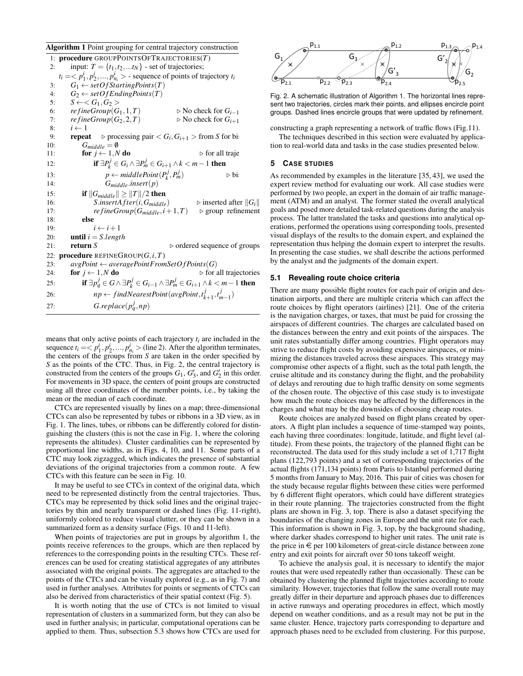<span id="page-5-1"></span>Algorithm 1 Point grouping for central trajectory construction

|     | 1: procedure GROUPPOINTSOFTRAJECTORIES $(T)$                                           |                                                                                                             |
|-----|----------------------------------------------------------------------------------------|-------------------------------------------------------------------------------------------------------------|
| 2:  | input: $T = \{t_1, t_2,  t_N\}$ - set of trajectories;                                 |                                                                                                             |
|     | $t_i = \langle p_1^i, p_2^i, , p_n^i \rangle$ - sequence of points of trajectory $t_i$ |                                                                                                             |
| 3:  | $G_1 \leftarrow setOfStartingPoints(T)$                                                |                                                                                                             |
| 4:  | $G_2 \leftarrow setOfEndingPoints(T)$                                                  |                                                                                                             |
| 5:  | $S \leftarrow < G_1, G_2 >$                                                            |                                                                                                             |
| 6:  | $refineGroup(G_1,1,T)$                                                                 | $\triangleright$ No check for $G_{i-1}$                                                                     |
| 7:  | re fine Group $(G_2, 2, T)$                                                            | $\triangleright$ No check for $G_{i+1}$                                                                     |
| 8:  | $i \leftarrow 1$                                                                       |                                                                                                             |
| 9:  |                                                                                        | <b>repeat</b> $\triangleright$ processing pair $\lt G_i, G_{i+1} >$ from S for bi                           |
| 10: | $G_{middle} = \emptyset$<br>for $j \leftarrow 1, N$ do                                 | $\triangleright$ for all traje                                                                              |
| 11: |                                                                                        |                                                                                                             |
| 12: |                                                                                        | if $\exists P_k^j \in G_i \wedge \exists P_m^j \in G_{i+1} \wedge k < m-1$ then                             |
| 13: |                                                                                        | $p \leftarrow middlePoint(P_k^j, P_m^j)$<br>⊳ bi                                                            |
| 14: | $G_{middle}.insert(p)$                                                                 |                                                                                                             |
| 15: | if $  G_{middle}   \geq   T  /2$ then                                                  |                                                                                                             |
| 16: | $S.insertAfter(i, G_{middle})$                                                         | $\triangleright$ inserted after $  G_i  $                                                                   |
| 17: |                                                                                        | $refineGroup(G_{middle}, i+1, T)$<br>$\triangleright$ group refinement                                      |
| 18: | else                                                                                   |                                                                                                             |
| 19: | $i \leftarrow i+1$                                                                     |                                                                                                             |
| 20: | <b>until</b> $i = S.length$                                                            |                                                                                                             |
| 21: | return $S$                                                                             | $\triangleright$ ordered sequence of groups                                                                 |
| 22: | <b>procedure</b> REFINEGROUP $(G, i, T)$                                               |                                                                                                             |
| 23: |                                                                                        | $avgPoint \leftarrow averagePointFromSetOfPoints(G)$                                                        |
| 24: | for $j \leftarrow 1, N$ do                                                             | $\triangleright$ for all trajectories                                                                       |
| 25: |                                                                                        | if $\exists p_q^j \in G \land \exists P_k^j \in G_{i-1} \land \exists P_m^j \in G_{i+1} \land k < m-1$ then |
| 26: |                                                                                        | $np \leftarrow findNearestPoint(\textit{avgPoint}, t_{k+1}^j, t_{m-1}^j)$                                   |
| 27: | $G.\mathit{replace}(p_q^J, np)$                                                        |                                                                                                             |

means that only active points of each trajectory *ti* are included in the sequence  $t_i = \langle p_1^i, p_2^i, ..., p_{n_i}^i \rangle$  (line 2). After the algorithm terminates, the centers of the groups from *S* are taken in the order specified by *S* as the points of the CTC. Thus, in Fig. [2,](#page-5-2) the central trajectory is constructed from the centers of the groups  $G_1$ ,  $G'_3$ , and  $G'_2$  in this order. For movements in 3D space, the centers of point groups are constructed using all three coordinates of the member points, i.e., by taking the mean or the median of each coordinate.

CTCs are represented visually by lines on a map; three-dimensional CTCs can also be represented by tubes or ribbons in a 3D view, as in Fig. [1.](#page-1-0) The lines, tubes, or ribbons can be differently colored for distinguishing the clusters (this is not the case in Fig. [1,](#page-1-0) where the coloring represents the altitudes). Cluster cardinalities can be represented by proportional line widths, as in Figs. [4,](#page-6-1) [10,](#page-8-0) and [11.](#page-9-0) Some parts of a CTC may look zigzagged, which indicates the presence of substantial deviations of the original trajectories from a common route. A few CTCs with this feature can be seen in Fig. [10.](#page-8-0)

It may be useful to see CTCs in context of the original data, which need to be represented distinctly from the central trajectories. Thus, CTCs may be represented by thick solid lines and the original trajectories by thin and nearly transparent or dashed lines (Fig. [11-](#page-9-0)right), uniformly colored to reduce visual clutter, or they can be shown in a summarized form as a density surface (Figs. [10](#page-8-0) and [11-](#page-9-0)left).

When points of trajectories are put in groups by algorithm [1,](#page-5-1) the points receive references to the groups, which are then replaced by references to the corresponding points in the resulting CTCs. These references can be used for creating statistical aggregates of any attributes associated with the original points. The aggregates are attached to the points of the CTCs and can be visually explored (e.g., as in Fig. [7\)](#page-6-2) and used in further analyses. Attributes for points or segments of CTCs can also be derived from characteristics of their spatial context (Fig. [5\)](#page-6-3).

It is worth noting that the use of CTCs is not limited to visual representation of clusters in a summarized form, but they can also be used in further analysis; in particular, computational operations can be applied to them. Thus, subsection [5.3](#page-8-1) shows how CTCs are used for



<span id="page-5-2"></span>Fig. 2. A schematic illustration of Algorithm 1. The horizontal lines represent two trajectories, circles mark their points, and ellipses encircle point groups. Dashed lines encircle groups that were updated by refinement.

constructing a graph representing a network of traffic flows (Fig[.11\)](#page-9-0). The techniques described in this section were evaluated by applica-

tion to real-world data and tasks in the case studies presented below.

# <span id="page-5-0"></span>**5 CASE STUDIES**

As recommended by examples in the literature [\[35,](#page-10-36) [43\]](#page-10-37), we used the expert review method for evaluating our work. All case studies were performed by two people, an expert in the domain of air traffic management (ATM) and an analyst. The former stated the overall analytical goals and posed more detailed task-related questions during the analysis process. The latter translated the tasks and questions into analytical operations, performed the operations using corresponding tools, presented visual displays of the results to the domain expert, and explained the representation thus helping the domain expert to interpret the results. In presenting the case studies, we shall describe the actions performed by the analyst and the judgments of the domain expert.

# **5.1 Revealing route choice criteria**

There are many possible flight routes for each pair of origin and destination airports, and there are multiple criteria which can affect the route choices by flight operators (airlines) [\[21\]](#page-10-38). One of the criteria is the navigation charges, or taxes, that must be paid for crossing the airspaces of different countries. The charges are calculated based on the distances between the entry and exit points of the airspaces. The unit rates substantially differ among countries. Flight operators may strive to reduce flight costs by avoiding expensive airspaces, or minimizing the distances traveled across these airspaces. This strategy may compromise other aspects of a flight, such as the total path length, the cruise altitude and its constancy during the flight, and the probability of delays and rerouting due to high traffic density on some segments of the chosen route. The objective of this case study is to investigate how much the route choices may be affected by the differences in the charges and what may be the downsides of choosing cheap routes.

Route choices are analyzed based on flight plans created by operators. A flight plan includes a sequence of time-stamped way points, each having three coordinates: longitude, latitude, and flight level (altitude). From these points, the trajectory of the planned flight can be reconstructed. The data used for this study include a set of 1,717 flight plans (122,793 points) and a set of corresponding trajectories of the actual flights (171,134 points) from Paris to Istanbul performed during 5 months from January to May, 2016. This pair of cities was chosen for the study because regular flights between these cities were performed by 6 different flight operators, which could have different strategies in their route planning. The trajectories constructed from the flight plans are shown in Fig. [3,](#page-6-0) top. There is also a dataset specifying the boundaries of the changing zones in Europe and the unit rate for each. This information is shown in Fig. [3,](#page-6-0) top, by the background shading, where darker shades correspond to higher unit rates. The unit rate is the price in  $\epsilon$  per 100 kilometers of great-circle distance between zone entry and exit points for aircraft over 50 tons takeoff weight.

To achieve the analysis goal, it is necessary to identify the major routes that were used repeatedly rather than occasionally. These can be obtained by clustering the planned flight trajectories according to route similarity. However, trajectories that follow the same overall route may greatly differ in their departure and approach phases due to differences in active runways and operating procedures in effect, which mostly depend on weather conditions, and as a result may not be put in the same cluster. Hence, trajectory parts corresponding to departure and approach phases need to be excluded from clustering. For this purpose,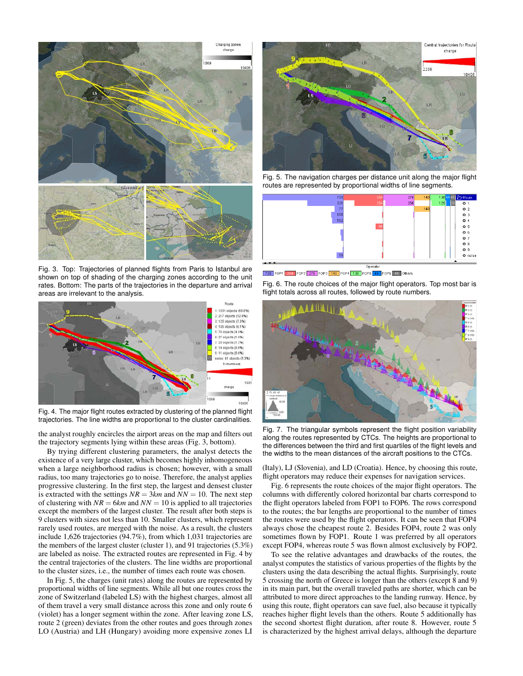

<span id="page-6-0"></span>Fig. 3. Top: Trajectories of planned flights from Paris to Istanbul are shown on top of shading of the charging zones according to the unit rates. Bottom: The parts of the trajectories in the departure and arrival areas are irrelevant to the analysis.



<span id="page-6-1"></span>Fig. 4. The major flight routes extracted by clustering of the planned flight trajectories. The line widths are proportional to the cluster cardinalities.

the analyst roughly encircles the airport areas on the map and filters out the trajectory segments lying within these areas (Fig. [3,](#page-6-0) bottom).

By trying different clustering parameters, the analyst detects the existence of a very large cluster, which becomes highly inhomogeneous when a large neighborhood radius is chosen; however, with a small radius, too many trajectories go to noise. Therefore, the analyst applies progressive clustering. In the first step, the largest and densest cluster is extracted with the settings  $NR = 3km$  and  $NN = 10$ . The next step of clustering with  $NR = 6km$  and  $NN = 10$  is applied to all trajectories except the members of the largest cluster. The result after both steps is 9 clusters with sizes not less than 10. Smaller clusters, which represent rarely used routes, are merged with the noise. As a result, the clusters include 1,626 trajectories (94.7%), from which 1,031 trajectories are the members of the largest cluster (cluster 1), and 91 trajectories (5.3%) are labeled as noise. The extracted routes are represented in Fig. [4](#page-6-1) by the central trajectories of the clusters. The line widths are proportional to the cluster sizes, i.e., the number of times each route was chosen.

In Fig. [5,](#page-6-3) the charges (unit rates) along the routes are represented by proportional widths of line segments. While all but one routes cross the zone of Switzerland (labeled LS) with the highest charges, almost all of them travel a very small distance across this zone and only route 6 (violet) has a longer segment within the zone. After leaving zone LS, route 2 (green) deviates from the other routes and goes through zones LO (Austria) and LH (Hungary) avoiding more expensive zones LI



<span id="page-6-3"></span>Fig. 5. The navigation charges per distance unit along the major flight routes are represented by proportional widths of line segments.



720 FOP1 354 FOP2 276 FOP3 140 FOP4 138 FOP5 44 FOP6 45 Others

<span id="page-6-4"></span>Fig. 6. The route choices of the major flight operators. Top most bar is flight totals across all routes, followed by route numbers.



<span id="page-6-2"></span>Fig. 7. The triangular symbols represent the flight position variability along the routes represented by CTCs. The heights are proportional to the differences between the third and first quartiles of the flight levels and the widths to the mean distances of the aircraft positions to the CTCs.

(Italy), LJ (Slovenia), and LD (Croatia). Hence, by choosing this route, flight operators may reduce their expenses for navigation services.

Fig. [6](#page-6-4) represents the route choices of the major flight operators. The columns with differently colored horizontal bar charts correspond to the flight operators labeled from FOP1 to FOP6. The rows correspond to the routes; the bar lengths are proportional to the number of times the routes were used by the flight operators. It can be seen that FOP4 always chose the cheapest route 2. Besides FOP4, route 2 was only sometimes flown by FOP1. Route 1 was preferred by all operators except FOP4, whereas route 5 was flown almost exclusively by FOP2.

To see the relative advantages and drawbacks of the routes, the analyst computes the statistics of various properties of the flights by the clusters using the data describing the actual flights. Surprisingly, route 5 crossing the north of Greece is longer than the others (except 8 and 9) in its main part, but the overall traveled paths are shorter, which can be attributed to more direct approaches to the landing runway. Hence, by using this route, flight operators can save fuel, also because it typically reaches higher flight levels than the others. Route 5 additionally has the second shortest flight duration, after route 8. However, route 5 is characterized by the highest arrival delays, although the departure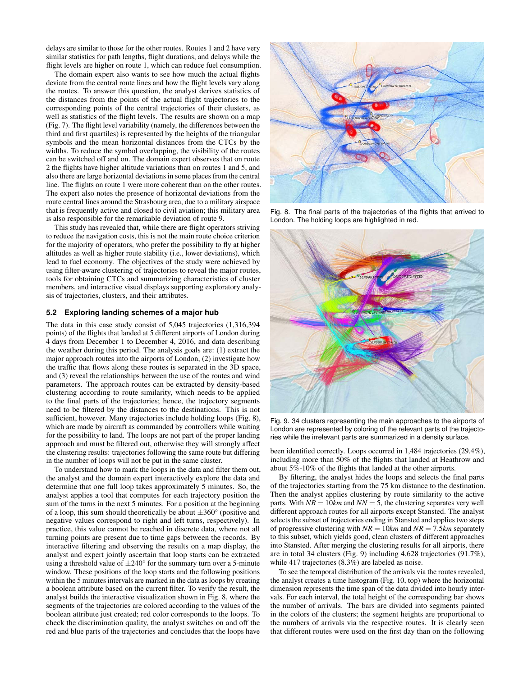delays are similar to those for the other routes. Routes 1 and 2 have very similar statistics for path lengths, flight durations, and delays while the flight levels are higher on route 1, which can reduce fuel consumption.

The domain expert also wants to see how much the actual flights deviate from the central route lines and how the flight levels vary along the routes. To answer this question, the analyst derives statistics of the distances from the points of the actual flight trajectories to the corresponding points of the central trajectories of their clusters, as well as statistics of the flight levels. The results are shown on a map (Fig. [7\)](#page-6-2). The flight level variability (namely, the differences between the third and first quartiles) is represented by the heights of the triangular symbols and the mean horizontal distances from the CTCs by the widths. To reduce the symbol overlapping, the visibility of the routes can be switched off and on. The domain expert observes that on route 2 the flights have higher altitude variations than on routes 1 and 5, and also there are large horizontal deviations in some places from the central line. The flights on route 1 were more coherent than on the other routes. The expert also notes the presence of horizontal deviations from the route central lines around the Strasbourg area, due to a military airspace that is frequently active and closed to civil aviation; this military area is also responsible for the remarkable deviation of route 9.

This study has revealed that, while there are flight operators striving to reduce the navigation costs, this is not the main route choice criterion for the majority of operators, who prefer the possibility to fly at higher altitudes as well as higher route stability (i.e., lower deviations), which lead to fuel economy. The objectives of the study were achieved by using filter-aware clustering of trajectories to reveal the major routes, tools for obtaining CTCs and summarizing characteristics of cluster members, and interactive visual displays supporting exploratory analysis of trajectories, clusters, and their attributes.

## **5.2 Exploring landing schemes of a major hub**

The data in this case study consist of 5,045 trajectories (1,316,394 points) of the flights that landed at 5 different airports of London during 4 days from December 1 to December 4, 2016, and data describing the weather during this period. The analysis goals are: (1) extract the major approach routes into the airports of London, (2) investigate how the traffic that flows along these routes is separated in the 3D space, and (3) reveal the relationships between the use of the routes and wind parameters. The approach routes can be extracted by density-based clustering according to route similarity, which needs to be applied to the final parts of the trajectories; hence, the trajectory segments need to be filtered by the distances to the destinations. This is not sufficient, however. Many trajectories include holding loops (Fig. [8\)](#page-7-0), which are made by aircraft as commanded by controllers while waiting for the possibility to land. The loops are not part of the proper landing approach and must be filtered out, otherwise they will strongly affect the clustering results: trajectories following the same route but differing in the number of loops will not be put in the same cluster.

To understand how to mark the loops in the data and filter them out, the analyst and the domain expert interactively explore the data and determine that one full loop takes approximately 5 minutes. So, the analyst applies a tool that computes for each trajectory position the sum of the turns in the next 5 minutes. For a position at the beginning of a loop, this sum should theoretically be about  $\pm 360^\circ$  (positive and negative values correspond to right and left turns, respectively). In practice, this value cannot be reached in discrete data, where not all turning points are present due to time gaps between the records. By interactive filtering and observing the results on a map display, the analyst and expert jointly ascertain that loop starts can be extracted using a threshold value of  $\pm 240^\circ$  for the summary turn over a 5-minute window. These positions of the loop starts and the following positions within the 5 minutes intervals are marked in the data as loops by creating a boolean attribute based on the current filter. To verify the result, the analyst builds the interactive visualization shown in Fig. [8,](#page-7-0) where the segments of the trajectories are colored according to the values of the boolean attribute just created; red color corresponds to the loops. To check the discrimination quality, the analyst switches on and off the red and blue parts of the trajectories and concludes that the loops have



<span id="page-7-0"></span>Fig. 8. The final parts of the trajectories of the flights that arrived to London. The holding loops are highlighted in red.



<span id="page-7-1"></span>Fig. 9. 34 clusters representing the main approaches to the airports of London are represented by coloring of the relevant parts of the trajectories while the irrelevant parts are summarized in a density surface.

been identified correctly. Loops occurred in 1,484 trajectories (29.4%), including more than 50% of the flights that landed at Heathrow and about 5%-10% of the flights that landed at the other airports.

By filtering, the analyst hides the loops and selects the final parts of the trajectories starting from the 75 km distance to the destination. Then the analyst applies clustering by route similarity to the active parts. With  $NR = 10km$  and  $NN = 5$ , the clustering separates very well different approach routes for all airports except Stansted. The analyst selects the subset of trajectories ending in Stansted and applies two steps of progressive clustering with  $NR = 10km$  and  $NR = 7.5km$  separately to this subset, which yields good, clean clusters of different approaches into Stansted. After merging the clustering results for all airports, there are in total 34 clusters (Fig. [9\)](#page-7-1) including 4,628 trajectories (91.7%), while 417 trajectories (8.3%) are labeled as noise.

To see the temporal distribution of the arrivals via the routes revealed, the analyst creates a time histogram (Fig. [10,](#page-8-0) top) where the horizontal dimension represents the time span of the data divided into hourly intervals. For each interval, the total height of the corresponding bar shows the number of arrivals. The bars are divided into segments painted in the colors of the clusters; the segment heights are proportional to the numbers of arrivals via the respective routes. It is clearly seen that different routes were used on the first day than on the following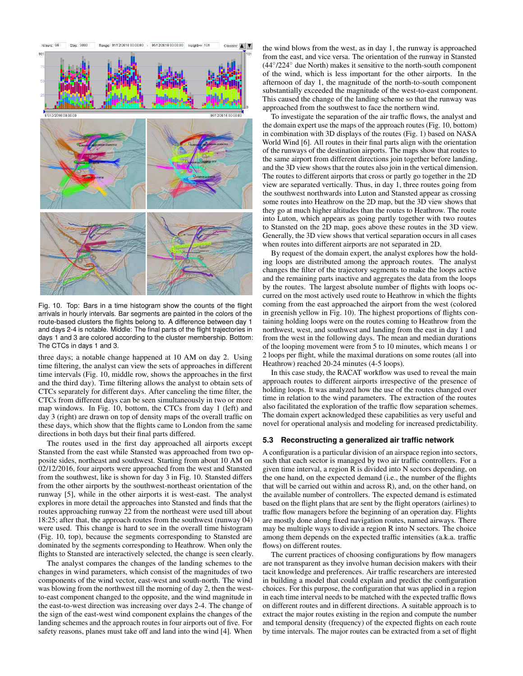

<span id="page-8-0"></span>Fig. 10. Top: Bars in a time histogram show the counts of the flight arrivals in hourly intervals. Bar segments are painted in the colors of the route-based clusters the flights belong to. A difference between day 1 and days 2-4 is notable. Middle: The final parts of the flight trajectories in days 1 and 3 are colored according to the cluster membership. Bottom: The CTCs in days 1 and 3.

three days; a notable change happened at 10 AM on day 2. Using time filtering, the analyst can view the sets of approaches in different time intervals (Fig. [10,](#page-8-0) middle row, shows the approaches in the first and the third day). Time filtering allows the analyst to obtain sets of CTCs separately for different days. After canceling the time filter, the CTCs from different days can be seen simultaneously in two or more map windows. In Fig. [10,](#page-8-0) bottom, the CTCs from day 1 (left) and day 3 (right) are drawn on top of density maps of the overall traffic on these days, which show that the flights came to London from the same directions in both days but their final parts differed.

The routes used in the first day approached all airports except Stansted from the east while Stansted was approached from two opposite sides, northeast and southwest. Starting from about 10 AM on 02/12/2016, four airports were approached from the west and Stansted from the southwest, like is shown for day 3 in Fig. [10.](#page-8-0) Stansted differs from the other airports by the southwest-northeast orientation of the runway [\[5\]](#page-10-39), while in the other airports it is west-east. The analyst explores in more detail the approaches into Stansted and finds that the routes approaching runway 22 from the northeast were used till about 18:25; after that, the approach routes from the southwest (runway 04) were used. This change is hard to see in the overall time histogram (Fig. [10,](#page-8-0) top), because the segments corresponding to Stansted are dominated by the segments corresponding to Heathrow. When only the flights to Stansted are interactively selected, the change is seen clearly.

The analyst compares the changes of the landing schemes to the changes in wind parameters, which consist of the magnitudes of two components of the wind vector, east-west and south-north. The wind was blowing from the northwest till the morning of day 2, then the westto-east component changed to the opposite, and the wind magnitude in the east-to-west direction was increasing over days 2-4. The change of the sign of the east-west wind component explains the changes of the landing schemes and the approach routes in four airports out of five. For safety reasons, planes must take off and land into the wind [\[4\]](#page-10-40). When

the wind blows from the west, as in day 1, the runway is approached from the east, and vice versa. The orientation of the runway in Stansted (44◦ /224◦ due North) makes it sensitive to the north-south component of the wind, which is less important for the other airports. In the afternoon of day 1, the magnitude of the north-to-south component substantially exceeded the magnitude of the west-to-east component. This caused the change of the landing scheme so that the runway was approached from the southwest to face the northern wind.

To investigate the separation of the air traffic flows, the analyst and the domain expert use the maps of the approach routes (Fig. [10,](#page-8-0) bottom) in combination with 3D displays of the routes (Fig. [1\)](#page-1-0) based on NASA World Wind [\[6\]](#page-10-41). All routes in their final parts align with the orientation of the runways of the destination airports. The maps show that routes to the same airport from different directions join together before landing, and the 3D view shows that the routes also join in the vertical dimension. The routes to different airports that cross or partly go together in the 2D view are separated vertically. Thus, in day 1, three routes going from the southwest northwards into Luton and Stansted appear as crossing some routes into Heathrow on the 2D map, but the 3D view shows that they go at much higher altitudes than the routes to Heathrow. The route into Luton, which appears as going partly together with two routes to Stansted on the 2D map, goes above these routes in the 3D view. Generally, the 3D view shows that vertical separation occurs in all cases when routes into different airports are not separated in 2D.

By request of the domain expert, the analyst explores how the holding loops are distributed among the approach routes. The analyst changes the filter of the trajectory segments to make the loops active and the remaining parts inactive and aggregates the data from the loops by the routes. The largest absolute number of flights with loops occurred on the most actively used route to Heathrow in which the flights coming from the east approached the airport from the west (colored in greenish yellow in Fig. [10\)](#page-8-0). The highest proportions of flights containing holding loops were on the routes coming to Heathrow from the northwest, west, and southwest and landing from the east in day 1 and from the west in the following days. The mean and median durations of the looping movement were from 5 to 10 minutes, which means 1 or 2 loops per flight, while the maximal durations on some routes (all into Heathrow) reached 20-24 minutes (4-5 loops).

In this case study, the RACAT workflow was used to reveal the main approach routes to different airports irrespective of the presence of holding loops. It was analyzed how the use of the routes changed over time in relation to the wind parameters. The extraction of the routes also facilitated the exploration of the traffic flow separation schemes. The domain expert acknowledged these capabilities as very useful and novel for operational analysis and modeling for increased predictability.

# <span id="page-8-1"></span>**5.3 Reconstructing a generalized air traffic network**

A configuration is a particular division of an airspace region into sectors, such that each sector is managed by two air traffic controllers. For a given time interval, a region R is divided into N sectors depending, on the one hand, on the expected demand (i.e., the number of the flights that will be carried out within and across R), and, on the other hand, on the available number of controllers. The expected demand is estimated based on the flight plans that are sent by the flight operators (airlines) to traffic flow managers before the beginning of an operation day. Flights are mostly done along fixed navigation routes, named airways. There may be multiple ways to divide a region R into N sectors. The choice among them depends on the expected traffic intensities (a.k.a. traffic flows) on different routes.

The current practices of choosing configurations by flow managers are not transparent as they involve human decision makers with their tacit knowledge and preferences. Air traffic researchers are interested in building a model that could explain and predict the configuration choices. For this purpose, the configuration that was applied in a region in each time interval needs to be matched with the expected traffic flows on different routes and in different directions. A suitable approach is to extract the major routes existing in the region and compute the number and temporal density (frequency) of the expected flights on each route by time intervals. The major routes can be extracted from a set of flight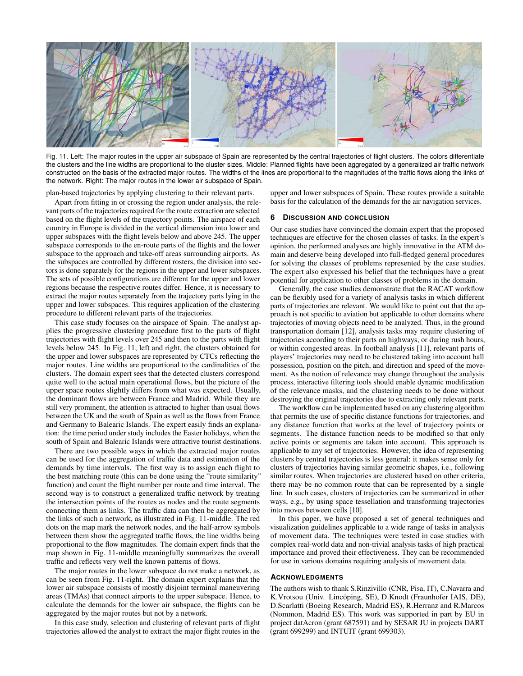

<span id="page-9-0"></span>Fig. 11. Left: The major routes in the upper air subspace of Spain are represented by the central trajectories of flight clusters. The colors differentiate the clusters and the line widths are proportional to the cluster sizes. Middle: Planned flights have been aggregated by a generalized air traffic network constructed on the basis of the extracted major routes. The widths of the lines are proportional to the magnitudes of the traffic flows along the links of the network. Right: The major routes in the lower air subspace of Spain.

plan-based trajectories by applying clustering to their relevant parts.

Apart from fitting in or crossing the region under analysis, the relevant parts of the trajectories required for the route extraction are selected based on the flight levels of the trajectory points. The airspace of each country in Europe is divided in the vertical dimension into lower and upper subspaces with the flight levels below and above 245. The upper subspace corresponds to the en-route parts of the flights and the lower subspace to the approach and take-off areas surrounding airports. As the subspaces are controlled by different rosters, the division into sectors is done separately for the regions in the upper and lower subspaces. The sets of possible configurations are different for the upper and lower regions because the respective routes differ. Hence, it is necessary to extract the major routes separately from the trajectory parts lying in the upper and lower subspaces. This requires application of the clustering procedure to different relevant parts of the trajectories.

This case study focuses on the airspace of Spain. The analyst applies the progressive clustering procedure first to the parts of flight trajectories with flight levels over 245 and then to the parts with flight levels below 245. In Fig. [11,](#page-9-0) left and right, the clusters obtained for the upper and lower subspaces are represented by CTCs reflecting the major routes. Line widths are proportional to the cardinalities of the clusters. The domain expert sees that the detected clusters correspond quite well to the actual main operational flows, but the picture of the upper space routes slightly differs from what was expected. Usually, the dominant flows are between France and Madrid. While they are still very prominent, the attention is attracted to higher than usual flows between the UK and the south of Spain as well as the flows from France and Germany to Balearic Islands. The expert easily finds an explanation: the time period under study includes the Easter holidays, when the south of Spain and Balearic Islands were attractive tourist destinations.

There are two possible ways in which the extracted major routes can be used for the aggregation of traffic data and estimation of the demands by time intervals. The first way is to assign each flight to the best matching route (this can be done using the "route similarity" function) and count the flight number per route and time interval. The second way is to construct a generalized traffic network by treating the intersection points of the routes as nodes and the route segments connecting them as links. The traffic data can then be aggregated by the links of such a network, as illustrated in Fig. [11-](#page-9-0)middle. The red dots on the map mark the network nodes, and the half-arrow symbols between them show the aggregated traffic flows, the line widths being proportional to the flow magnitudes. The domain expert finds that the map shown in Fig. [11-](#page-9-0)middle meaningfully summarizes the overall traffic and reflects very well the known patterns of flows.

The major routes in the lower subspace do not make a network, as can be seen from Fig. [11-](#page-9-0)right. The domain expert explains that the lower air subspace consists of mostly disjoint terminal maneuvering areas (TMAs) that connect airports to the upper subspace. Hence, to calculate the demands for the lower air subspace, the flights can be aggregated by the major routes but not by a network.

In this case study, selection and clustering of relevant parts of flight trajectories allowed the analyst to extract the major flight routes in the

upper and lower subspaces of Spain. These routes provide a suitable basis for the calculation of the demands for the air navigation services.

#### **6 DISCUSSION AND CONCLUSION**

Our case studies have convinced the domain expert that the proposed techniques are effective for the chosen classes of tasks. In the expert's opinion, the performed analyses are highly innovative in the ATM domain and deserve being developed into full-fledged general procedures for solving the classes of problems represented by the case studies. The expert also expressed his belief that the techniques have a great potential for application to other classes of problems in the domain.

Generally, the case studies demonstrate that the RACAT workflow can be flexibly used for a variety of analysis tasks in which different parts of trajectories are relevant. We would like to point out that the approach is not specific to aviation but applicable to other domains where trajectories of moving objects need to be analyzed. Thus, in the ground transportation domain [\[12\]](#page-10-42), analysis tasks may require clustering of trajectories according to their parts on highways, or during rush hours, or within congested areas. In football analysis [\[11\]](#page-10-43), relevant parts of players' trajectories may need to be clustered taking into account ball possession, position on the pitch, and direction and speed of the movement. As the notion of relevance may change throughout the analysis process, interactive filtering tools should enable dynamic modification of the relevance masks, and the clustering needs to be done without destroying the original trajectories due to extracting only relevant parts.

The workflow can be implemented based on any clustering algorithm that permits the use of specific distance functions for trajectories, and any distance function that works at the level of trajectory points or segments. The distance function needs to be modified so that only active points or segments are taken into account. This approach is applicable to any set of trajectories. However, the idea of representing clusters by central trajectories is less general: it makes sense only for clusters of trajectories having similar geometric shapes, i.e., following similar routes. When trajectories are clustered based on other criteria, there may be no common route that can be represented by a single line. In such cases, clusters of trajectories can be summarized in other ways, e.g., by using space tessellation and transforming trajectories into moves between cells [\[10\]](#page-10-8).

In this paper, we have proposed a set of general techniques and visualization guidelines applicable to a wide range of tasks in analysis of movement data. The techniques were tested in case studies with complex real-world data and non-trivial analysis tasks of high practical importance and proved their effectiveness. They can be recommended for use in various domains requiring analysis of movement data.

#### **ACKNOWLEDGMENTS**

The authors wish to thank S.Rinzivillo (CNR, Pisa, IT), C.Navarra and K. Vrotsou (Univ. Lincöping, SE), D. Knodt (Fraunhofer IAIS, DE), D.Scarlatti (Boeing Research, Madrid ES), R.Herranz and R.Marcos (Nommon, Madrid ES). This work was supported in part by EU in project datAcron (grant 687591) and by SESAR JU in projects DART (grant 699299) and INTUIT (grant 699303).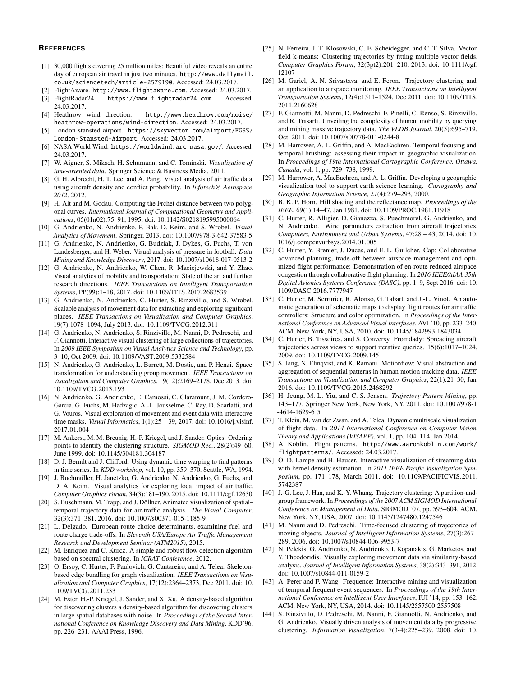#### **REFERENCES**

- <span id="page-10-3"></span>[1] 30,000 flights covering 25 million miles: Beautiful video reveals an entire day of european air travel in just two minutes. [http://www.dailymail.](http://www.dailymail.co.uk/sciencetech/article-2579190) [co.uk/sciencetech/article-2579190](http://www.dailymail.co.uk/sciencetech/article-2579190). Accessed: 24.03.2017.
- <span id="page-10-1"></span>[2] FlightAware. <http://www.flightaware.com>. Accessed: 24.03.2017.
- <span id="page-10-0"></span>[3] FlightRadar24. <https://www.flightradar24.com>. Accessed: 24.03.2017.
- <span id="page-10-40"></span>[4] Heathrow wind direction. [http://www.heathrow.com/noise/](http://www.heathrow.com/noise/heathrow-operations/wind-direction) [heathrow-operations/wind-direction](http://www.heathrow.com/noise/heathrow-operations/wind-direction). Accessed: 24.03.2017.
- <span id="page-10-39"></span>[5] London stansted airport. [https://skyvector.com/airport/EGSS/](https://skyvector.com/airport/EGSS/London-Stansted-Airport) [London-Stansted-Airport](https://skyvector.com/airport/EGSS/London-Stansted-Airport). Accessed: 24.03.2017.
- <span id="page-10-41"></span>[6] NASA World Wind. <https://worldwind.arc.nasa.gov/>. Accessed: 24.03.2017.
- <span id="page-10-9"></span>[7] W. Aigner, S. Miksch, H. Schumann, and C. Tominski. *Visualization of time-oriented data*. Springer Science & Business Media, 2011.
- <span id="page-10-31"></span>[8] G. H. Albrecht, H. T. Lee, and A. Pang. Visual analysis of air traffic data using aircraft density and conflict probability. In *Infotech@ Aerospace 2012*. 2012.
- <span id="page-10-20"></span>[9] H. Alt and M. Godau. Computing the Frchet distance between two polygonal curves. *International Journal of Computational Geometry and Applications*, 05(01n02):75–91, 1995. doi: 10.1142/S0218195995000064
- <span id="page-10-8"></span>[10] G. Andrienko, N. Andrienko, P. Bak, D. Keim, and S. Wrobel. *Visual Analytics of Movement*. Springer, 2013. doi: 10.1007/978-3-642-37583-5
- <span id="page-10-43"></span>[11] G. Andrienko, N. Andrienko, G. Budziak, J. Dykes, G. Fuchs, T. von Landesberger, and H. Weber. Visual analysis of pressure in football. *Data Mining and Knowledge Discovery*, 2017. doi: 10.1007/s10618-017-0513-2
- <span id="page-10-42"></span>[12] G. Andrienko, N. Andrienko, W. Chen, R. Maciejewski, and Y. Zhao. Visual analytics of mobility and transportation: State of the art and further research directions. *IEEE Transactions on Intelligent Transportation Systems*, PP(99):1–18, 2017. doi: 10.1109/TITS.2017.2683539
- <span id="page-10-13"></span>[13] G. Andrienko, N. Andrienko, C. Hurter, S. Rinzivillo, and S. Wrobel. Scalable analysis of movement data for extracting and exploring significant places. *IEEE Transactions on Visualization and Computer Graphics*, 19(7):1078–1094, July 2013. doi: 10.1109/TVCG.2012.311
- <span id="page-10-25"></span>[14] G. Andrienko, N. Andrienko, S. Rinzivillo, M. Nanni, D. Pedreschi, and F. Giannotti. Interactive visual clustering of large collections of trajectories. In *2009 IEEE Symposium on Visual Analytics Science and Technology*, pp. 3–10, Oct 2009. doi: 10.1109/VAST.2009.5332584
- <span id="page-10-29"></span>[15] N. Andrienko, G. Andrienko, L. Barrett, M. Dostie, and P. Henzi. Space transformation for understanding group movement. *IEEE Transactions on Visualization and Computer Graphics*, 19(12):2169–2178, Dec 2013. doi: 10.1109/TVCG.2013.193
- <span id="page-10-14"></span>[16] N. Andrienko, G. Andrienko, E. Camossi, C. Claramunt, J. M. Cordero-Garcia, G. Fuchs, M. Hadzagic, A.-L. Jousselme, C. Ray, D. Scarlatti, and G. Vouros. Visual exploration of movement and event data with interactive time masks. *Visual Informatics*, 1(1):25 – 39, 2017. doi: 10.1016/j.visinf. 2017.01.004
- <span id="page-10-16"></span>[17] M. Ankerst, M. M. Breunig, H.-P. Kriegel, and J. Sander. Optics: Ordering points to identify the clustering structure. *SIGMOD Rec.*, 28(2):49–60, June 1999. doi: 10.1145/304181.304187
- <span id="page-10-21"></span>[18] D. J. Berndt and J. Clifford. Using dynamic time warping to find patterns in time series. In *KDD workshop*, vol. 10, pp. 359–370. Seattle, WA, 1994.
- <span id="page-10-33"></span>[19] J. Buchmüller, H. Janetzko, G. Andrienko, N. Andrienko, G. Fuchs, and D. A. Keim. Visual analytics for exploring local impact of air traffic. *Computer Graphics Forum*, 34(3):181–190, 2015. doi: 10.1111/cgf.12630
- <span id="page-10-7"></span>[20] S. Buschmann, M. Trapp, and J. Döllner. Animated visualization of spatial– temporal trajectory data for air-traffic analysis. *The Visual Computer*, 32(3):371–381, 2016. doi: 10.1007/s00371-015-1185-9
- <span id="page-10-38"></span>[21] L. Delgado. European route choice determinants. examining fuel and route charge trade-offs. In *Eleventh USA/Europe Air Traffic Management Research and Development Seminar (ATM2015)*, 2015.
- <span id="page-10-27"></span>[22] M. Enriquez and C. Kurcz. A simple and robust flow detection algorithm based on spectral clustering. In *ICRAT Conference*, 2012.
- <span id="page-10-5"></span>[23] O. Ersoy, C. Hurter, F. Paulovich, G. Cantareiro, and A. Telea. Skeletonbased edge bundling for graph visualization. *IEEE Transactions on Visualization and Computer Graphics*, 17(12):2364–2373, Dec 2011. doi: 10. 1109/TVCG.2011.233
- <span id="page-10-15"></span>[24] M. Ester, H.-P. Kriegel, J. Sander, and X. Xu. A density-based algorithm for discovering clusters a density-based algorithm for discovering clusters in large spatial databases with noise. In *Proceedings of the Second International Conference on Knowledge Discovery and Data Mining*, KDD'96, pp. 226–231. AAAI Press, 1996.
- <span id="page-10-23"></span>[25] N. Ferreira, J. T. Klosowski, C. E. Scheidegger, and C. T. Silva. Vector field k-means: Clustering trajectories by fitting multiple vector fields. *Computer Graphics Forum*, 32(3pt2):201–210, 2013. doi: 10.1111/cgf. 12107
- <span id="page-10-22"></span>[26] M. Gariel, A. N. Srivastava, and E. Feron. Trajectory clustering and an application to airspace monitoring. *IEEE Transactions on Intelligent Transportation Systems*, 12(4):1511–1524, Dec 2011. doi: 10.1109/TITS. 2011.2160628
- <span id="page-10-28"></span>[27] F. Giannotti, M. Nanni, D. Pedreschi, F. Pinelli, C. Renso, S. Rinzivillo, and R. Trasarti. Unveiling the complexity of human mobility by querying and mining massive trajectory data. *The VLDB Journal*, 20(5):695–719, Oct. 2011. doi: 10.1007/s00778-011-0244-8
- <span id="page-10-10"></span>[28] M. Harrower, A. L. Griffin, and A. MacEachren. Temporal focusing and temporal brushing: assessing their impact in geographic visualization. In *Proceedings of 19th International Cartographic Conference, Ottawa, Canada*, vol. 1, pp. 729–738, 1999.
- <span id="page-10-11"></span>[29] M. Harrower, A. MacEachren, and A. L. Griffin. Developing a geographic visualization tool to support earth science learning. *Cartography and Geographic Information Science*, 27(4):279–293, 2000.
- <span id="page-10-35"></span>[30] B. K. P. Horn. Hill shading and the reflectance map. *Proceedings of the IEEE*, 69(1):14–47, Jan 1981. doi: 10.1109/PROC.1981.11918
- <span id="page-10-32"></span>[31] C. Hurter, R. Alligier, D. Gianazza, S. Puechmorel, G. Andrienko, and N. Andrienko. Wind parameters extraction from aircraft trajectories. *Computers, Environment and Urban Systems*, 47:28 – 43, 2014. doi: 10. 1016/j.compenvurbsys.2014.01.005
- <span id="page-10-30"></span>[32] C. Hurter, Y. Brenier, J. Ducas, and E. L. Guilcher. Cap: Collaborative advanced planning, trade-off between airspace management and optimized flight performance: Demonstration of en-route reduced airspace congestion through collaborative flight planning. In *2016 IEEE/AIAA 35th Digital Avionics Systems Conference (DASC)*, pp. 1–9, Sept 2016. doi: 10. 1109/DASC.2016.7777947
- <span id="page-10-4"></span>[33] C. Hurter, M. Serrurier, R. Alonso, G. Tabart, and J.-L. Vinot. An automatic generation of schematic maps to display flight routes for air traffic controllers: Structure and color optimization. In *Proceedings of the International Conference on Advanced Visual Interfaces*, AVI '10, pp. 233–240. ACM, New York, NY, USA, 2010. doi: 10.1145/1842993.1843034
- <span id="page-10-12"></span>[34] C. Hurter, B. Tissoires, and S. Conversy. Fromdady: Spreading aircraft trajectories across views to support iterative queries. 15(6):1017–1024, 2009. doi: 10.1109/TVCG.2009.145
- <span id="page-10-36"></span>[35] S. Jang, N. Elmqvist, and K. Ramani. Motionflow: Visual abstraction and aggregation of sequential patterns in human motion tracking data. *IEEE Transactions on Visualization and Computer Graphics*, 22(1):21–30, Jan 2016. doi: 10.1109/TVCG.2015.2468292
- <span id="page-10-17"></span>[36] H. Jeung, M. L. Yiu, and C. S. Jensen. *Trajectory Pattern Mining*, pp. 143–177. Springer New York, New York, NY, 2011. doi: 10.1007/978-1 -4614-1629-6\_5
- <span id="page-10-6"></span>[37] T. Klein, M. van der Zwan, and A. Telea. Dynamic multiscale visualization of flight data. In *2014 International Conference on Computer Vision Theory and Applications (VISAPP)*, vol. 1, pp. 104–114, Jan 2014.
- <span id="page-10-2"></span>[38] A. Koblin. Flight patterns. [http://www.aaronkoblin.com/work/](http://www.aaronkoblin.com/work/flightpatterns/) [flightpatterns/](http://www.aaronkoblin.com/work/flightpatterns/). Accessed: 24.03.2017.
- <span id="page-10-34"></span>[39] O. D. Lampe and H. Hauser. Interactive visualization of streaming data with kernel density estimation. In *2011 IEEE Pacific Visualization Symposium*, pp. 171–178, March 2011. doi: 10.1109/PACIFICVIS.2011. 5742387
- <span id="page-10-26"></span>[40] J.-G. Lee, J. Han, and K.-Y. Whang. Trajectory clustering: A partition-andgroup framework. In *Proceedings of the 2007 ACM SIGMOD International Conference on Management of Data*, SIGMOD '07, pp. 593–604. ACM, New York, NY, USA, 2007. doi: 10.1145/1247480.1247546
- <span id="page-10-19"></span>[41] M. Nanni and D. Pedreschi. Time-focused clustering of trajectories of moving objects. *Journal of Intelligent Information Systems*, 27(3):267– 289, 2006. doi: 10.1007/s10844-006-9953-7
- <span id="page-10-18"></span>[42] N. Pelekis, G. Andrienko, N. Andrienko, I. Kopanakis, G. Marketos, and Y. Theodoridis. Visually exploring movement data via similarity-based analysis. *Journal of Intelligent Information Systems*, 38(2):343–391, 2012. doi: 10.1007/s10844-011-0159-2
- <span id="page-10-37"></span>[43] A. Perer and F. Wang. Frequence: Interactive mining and visualization of temporal frequent event sequences. In *Proceedings of the 19th International Conference on Intelligent User Interfaces*, IUI '14, pp. 153–162. ACM, New York, NY, USA, 2014. doi: 10.1145/2557500.2557508
- <span id="page-10-24"></span>[44] S. Rinzivillo, D. Pedreschi, M. Nanni, F. Giannotti, N. Andrienko, and G. Andrienko. Visually driven analysis of movement data by progressive clustering. *Information Visualization*, 7(3-4):225–239, 2008. doi: 10.